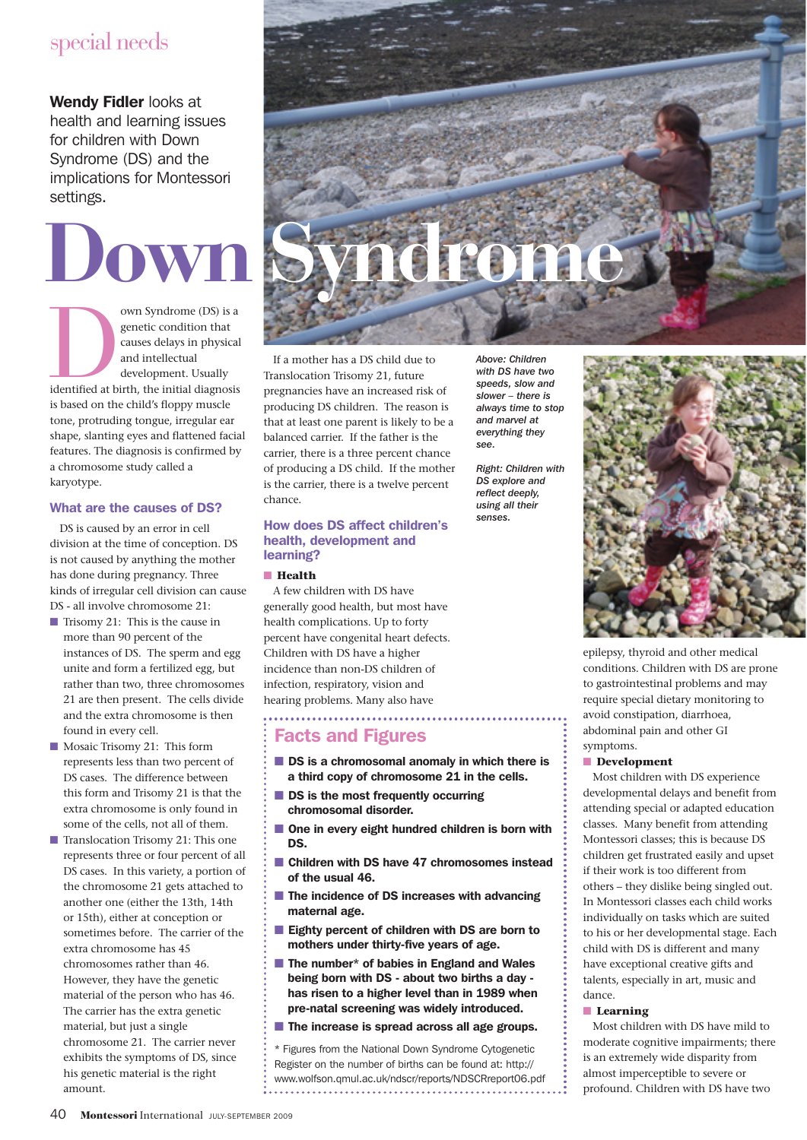# special needs

Wendy Fidler looks at health and learning issues for children with Down Syndrome (DS) and the implications for Montessori settings.

own Syndrome (DS) is a<br>genetic condition that<br>causes delays in physical<br>and intellectual<br>development. Usually<br>identified at birth, the initial diagnosis<br>is based on the child/s flagony genetic condition that causes delays in physical and intellectual development. Usually is based on the child's floppy muscle tone, protruding tongue, irregular ear shape, slanting eyes and flattened facial features. The diagnosis is confirmed by a chromosome study called a karyotype.

### What are the causes of DS?

DS is caused by an error in cell division at the time of conception. DS is not caused by anything the mother has done during pregnancy. Three kinds of irregular cell division can cause DS - all involve chromosome 21:

- Trisomy 21: This is the cause in more than 90 percent of the instances of DS. The sperm and egg unite and form a fertilized egg, but rather than two, three chromosomes 21 are then present. The cells divide and the extra chromosome is then found in every cell.
- Mosaic Trisomy 21: This form represents less than two percent of DS cases. The difference between this form and Trisomy 21 is that the extra chromosome is only found in some of the cells, not all of them.
- Translocation Trisomy 21: This one represents three or four percent of all DS cases. In this variety, a portion of the chromosome 21 gets attached to another one (either the 13th, 14th or 15th), either at conception or sometimes before. The carrier of the extra chromosome has 45 chromosomes rather than 46. However, they have the genetic material of the person who has 46. The carrier has the extra genetic material, but just a single chromosome 21. The carrier never exhibits the symptoms of DS, since his genetic material is the right amount.



If a mother has a DS child due to Translocation Trisomy 21, future pregnancies have an increased risk of producing DS children. The reason is that at least one parent is likely to be a balanced carrier. If the father is the carrier, there is a three percent chance of producing a DS child. If the mother is the carrier, there is a twelve percent chance.

#### How does DS affect children's health, development and learning?

#### ■ **Health**

A few children with DS have generally good health, but most have health complications. Up to forty percent have congenital heart defects. Children with DS have a higher incidence than non-DS children of infection, respiratory, vision and hearing problems. Many also have

# Facts and Figures

- DS is a chromosomal anomaly in which there is a third copy of chromosome 21 in the cells.
- DS is the most frequently occurring chromosomal disorder.
- One in every eight hundred children is born with DS.
- Children with DS have 47 chromosomes instead of the usual 46.
- The incidence of DS increases with advancing maternal age.
- Eighty percent of children with DS are born to mothers under thirty-five years of age.
- The number\* of babies in England and Wales being born with DS - about two births a day has risen to a higher level than in 1989 when pre-natal screening was widely introduced.
- The increase is spread across all age groups.

Figures from the National Down Syndrome Cytogenetic Register on the number of births can be found at: http:// www.wolfson.qmul.ac.uk/ndscr/reports/NDSCRreport06.pdf 

*Above: Children with DS have two speeds, slow and slower – there is always time to stop and marvel at everything they see.*

*Right: Children with DS explore and reflect deeply, using all their senses.*



epilepsy, thyroid and other medical conditions. Children with DS are prone to gastrointestinal problems and may require special dietary monitoring to avoid constipation, diarrhoea, abdominal pain and other GI symptoms.

#### ■ **Development**

Most children with DS experience developmental delays and benefit from attending special or adapted education classes. Many benefit from attending Montessori classes; this is because DS children get frustrated easily and upset if their work is too different from others – they dislike being singled out. In Montessori classes each child works individually on tasks which are suited to his or her developmental stage. Each child with DS is different and many have exceptional creative gifts and talents, especially in art, music and dance.

#### ■ **Learning**

Most children with DS have mild to moderate cognitive impairments; there is an extremely wide disparity from almost imperceptible to severe or profound. Children with DS have two